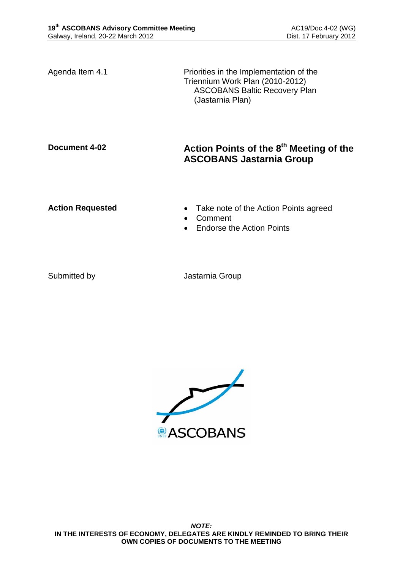Agenda Item 4.1 Priorities in the Implementation of the Triennium Work Plan (2010-2012) ASCOBANS Baltic Recovery Plan (Jastarnia Plan)

# **Document 4-02 Action Points of the 8 th Meeting of the ASCOBANS Jastarnia Group**

- **Action Requested Take note of the Action Points agreed** 
	- Comment
	- Endorse the Action Points

Submitted by **Jastarnia Group** 

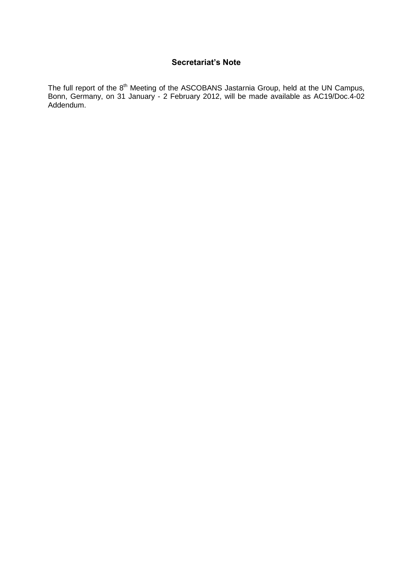### **Secretariat's Note**

The full report of the 8<sup>th</sup> Meeting of the ASCOBANS Jastarnia Group, held at the UN Campus, Bonn, Germany, on 31 January - 2 February 2012, will be made available as AC19/Doc.4-02 Addendum.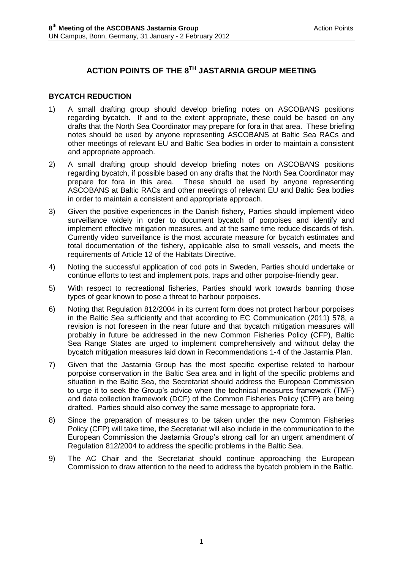# **ACTION POINTS OF THE 8TH JASTARNIA GROUP MEETING**

### **BYCATCH REDUCTION**

- 1) A small drafting group should develop briefing notes on ASCOBANS positions regarding bycatch. If and to the extent appropriate, these could be based on any drafts that the North Sea Coordinator may prepare for fora in that area. These briefing notes should be used by anyone representing ASCOBANS at Baltic Sea RACs and other meetings of relevant EU and Baltic Sea bodies in order to maintain a consistent and appropriate approach.
- 2) A small drafting group should develop briefing notes on ASCOBANS positions regarding bycatch, if possible based on any drafts that the North Sea Coordinator may prepare for fora in this area. These should be used by anyone representing ASCOBANS at Baltic RACs and other meetings of relevant EU and Baltic Sea bodies in order to maintain a consistent and appropriate approach.
- 3) Given the positive experiences in the Danish fishery, Parties should implement video surveillance widely in order to document bycatch of porpoises and identify and implement effective mitigation measures, and at the same time reduce discards of fish. Currently video surveillance is the most accurate measure for bycatch estimates and total documentation of the fishery, applicable also to small vessels, and meets the requirements of Article 12 of the Habitats Directive.
- 4) Noting the successful application of cod pots in Sweden, Parties should undertake or continue efforts to test and implement pots, traps and other porpoise-friendly gear.
- 5) With respect to recreational fisheries, Parties should work towards banning those types of gear known to pose a threat to harbour porpoises.
- 6) Noting that Regulation 812/2004 in its current form does not protect harbour porpoises in the Baltic Sea sufficiently and that according to EC Communication (2011) 578, a revision is not foreseen in the near future and that bycatch mitigation measures will probably in future be addressed in the new Common Fisheries Policy (CFP), Baltic Sea Range States are urged to implement comprehensively and without delay the bycatch mitigation measures laid down in Recommendations 1-4 of the Jastarnia Plan.
- 7) Given that the Jastarnia Group has the most specific expertise related to harbour porpoise conservation in the Baltic Sea area and in light of the specific problems and situation in the Baltic Sea, the Secretariat should address the European Commission to urge it to seek the Group's advice when the technical measures framework (TMF) and data collection framework (DCF) of the Common Fisheries Policy (CFP) are being drafted. Parties should also convey the same message to appropriate fora.
- 8) Since the preparation of measures to be taken under the new Common Fisheries Policy (CFP) will take time, the Secretariat will also include in the communication to the European Commission the Jastarnia Group's strong call for an urgent amendment of Regulation 812/2004 to address the specific problems in the Baltic Sea.
- 9) The AC Chair and the Secretariat should continue approaching the European Commission to draw attention to the need to address the bycatch problem in the Baltic.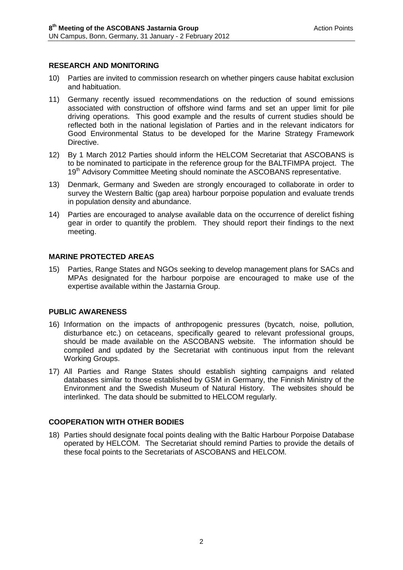#### **RESEARCH AND MONITORING**

- 10) Parties are invited to commission research on whether pingers cause habitat exclusion and habituation.
- 11) Germany recently issued recommendations on the reduction of sound emissions associated with construction of offshore wind farms and set an upper limit for pile driving operations. This good example and the results of current studies should be reflected both in the national legislation of Parties and in the relevant indicators for Good Environmental Status to be developed for the Marine Strategy Framework Directive.
- 12) By 1 March 2012 Parties should inform the HELCOM Secretariat that ASCOBANS is to be nominated to participate in the reference group for the BALTFIMPA project. The 19<sup>th</sup> Advisory Committee Meeting should nominate the ASCOBANS representative.
- 13) Denmark, Germany and Sweden are strongly encouraged to collaborate in order to survey the Western Baltic (gap area) harbour porpoise population and evaluate trends in population density and abundance.
- 14) Parties are encouraged to analyse available data on the occurrence of derelict fishing gear in order to quantify the problem. They should report their findings to the next meeting.

#### **MARINE PROTECTED AREAS**

15) Parties, Range States and NGOs seeking to develop management plans for SACs and MPAs designated for the harbour porpoise are encouraged to make use of the expertise available within the Jastarnia Group.

#### **PUBLIC AWARENESS**

- 16) Information on the impacts of anthropogenic pressures (bycatch, noise, pollution, disturbance etc.) on cetaceans, specifically geared to relevant professional groups, should be made available on the ASCOBANS website. The information should be compiled and updated by the Secretariat with continuous input from the relevant Working Groups.
- 17) All Parties and Range States should establish sighting campaigns and related databases similar to those established by GSM in Germany, the Finnish Ministry of the Environment and the Swedish Museum of Natural History. The websites should be interlinked. The data should be submitted to HELCOM regularly.

#### **COOPERATION WITH OTHER BODIES**

18) Parties should designate focal points dealing with the Baltic Harbour Porpoise Database operated by HELCOM. The Secretariat should remind Parties to provide the details of these focal points to the Secretariats of ASCOBANS and HELCOM.